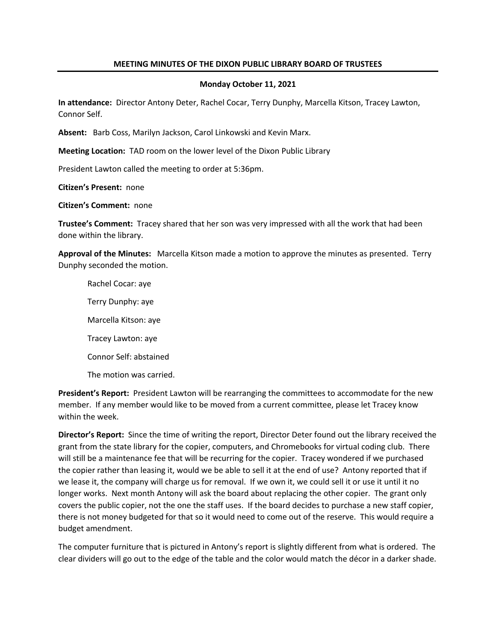## **MEETING MINUTES OF THE DIXON PUBLIC LIBRARY BOARD OF TRUSTEES**

### **Monday October 11, 2021**

**In attendance:** Director Antony Deter, Rachel Cocar, Terry Dunphy, Marcella Kitson, Tracey Lawton, Connor Self.

**Absent:** Barb Coss, Marilyn Jackson, Carol Linkowski and Kevin Marx.

**Meeting Location:** TAD room on the lower level of the Dixon Public Library

President Lawton called the meeting to order at 5:36pm.

**Citizen's Present:** none

**Citizen's Comment:** none

**Trustee's Comment:** Tracey shared that her son was very impressed with all the work that had been done within the library.

**Approval of the Minutes:** Marcella Kitson made a motion to approve the minutes as presented. Terry Dunphy seconded the motion.

Rachel Cocar: aye Terry Dunphy: aye Marcella Kitson: aye Tracey Lawton: aye Connor Self: abstained The motion was carried.

**President's Report:** President Lawton will be rearranging the committees to accommodate for the new member. If any member would like to be moved from a current committee, please let Tracey know within the week.

**Director's Report:** Since the time of writing the report, Director Deter found out the library received the grant from the state library for the copier, computers, and Chromebooks for virtual coding club. There will still be a maintenance fee that will be recurring for the copier. Tracey wondered if we purchased the copier rather than leasing it, would we be able to sell it at the end of use? Antony reported that if we lease it, the company will charge us for removal. If we own it, we could sell it or use it until it no longer works. Next month Antony will ask the board about replacing the other copier. The grant only covers the public copier, not the one the staff uses. If the board decides to purchase a new staff copier, there is not money budgeted for that so it would need to come out of the reserve. This would require a budget amendment.

The computer furniture that is pictured in Antony's report is slightly different from what is ordered. The clear dividers will go out to the edge of the table and the color would match the décor in a darker shade.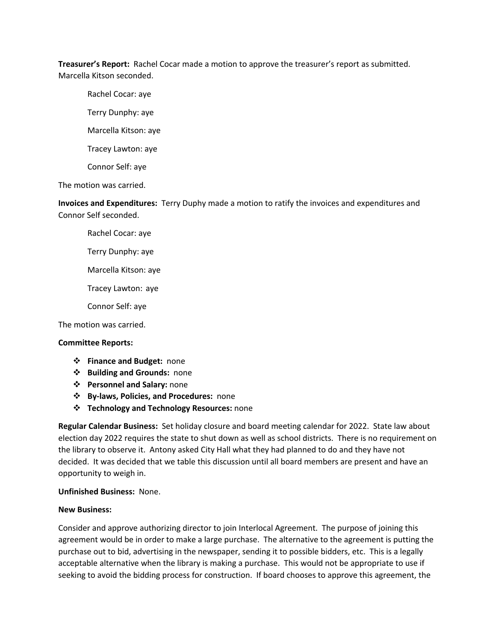**Treasurer's Report:** Rachel Cocar made a motion to approve the treasurer's report as submitted. Marcella Kitson seconded.

Rachel Cocar: aye

Terry Dunphy: aye

Marcella Kitson: aye

Tracey Lawton: aye

Connor Self: aye

The motion was carried.

**Invoices and Expenditures:** Terry Duphy made a motion to ratify the invoices and expenditures and Connor Self seconded.

Rachel Cocar: aye

Terry Dunphy: aye

Marcella Kitson: aye

Tracey Lawton: aye

Connor Self: aye

The motion was carried.

## **Committee Reports:**

- v **Finance and Budget:** none
- v **Building and Grounds:** none
- v **Personnel and Salary:** none
- v **By-laws, Policies, and Procedures:** none
- v **Technology and Technology Resources:** none

**Regular Calendar Business:** Set holiday closure and board meeting calendar for 2022. State law about election day 2022 requires the state to shut down as well as school districts. There is no requirement on the library to observe it. Antony asked City Hall what they had planned to do and they have not decided. It was decided that we table this discussion until all board members are present and have an opportunity to weigh in.

## **Unfinished Business:** None.

## **New Business:**

Consider and approve authorizing director to join Interlocal Agreement. The purpose of joining this agreement would be in order to make a large purchase. The alternative to the agreement is putting the purchase out to bid, advertising in the newspaper, sending it to possible bidders, etc. This is a legally acceptable alternative when the library is making a purchase. This would not be appropriate to use if seeking to avoid the bidding process for construction. If board chooses to approve this agreement, the